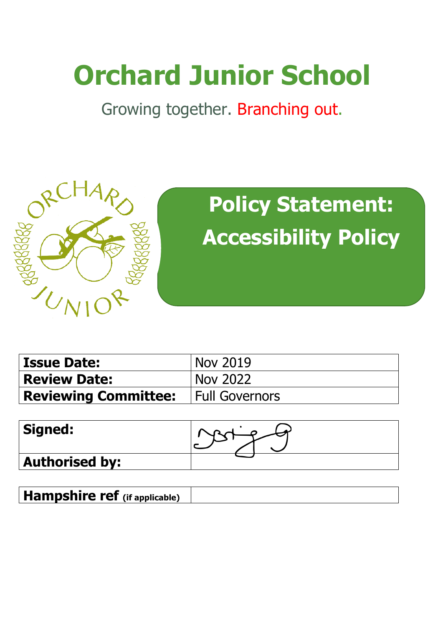# **Orchard Junior School**

Growing together. Branching out.



## **Policy Statement: Accessibility Policy**

| <b>Issue Date:</b>                           | Nov 2019        |
|----------------------------------------------|-----------------|
| <b>Review Date:</b>                          | <b>Nov 2022</b> |
| <b>Reviewing Committee:</b>   Full Governors |                 |

| <b>Signed:</b>        |  |
|-----------------------|--|
| <b>Authorised by:</b> |  |

| <b>Hampshire ref</b> (if applicable) |  |
|--------------------------------------|--|
|--------------------------------------|--|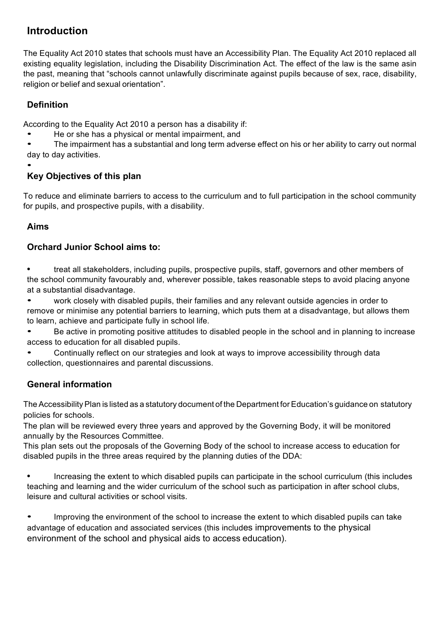## **Introduction**

The Equality Act 2010 states that schools must have an Accessibility Plan. The Equality Act 2010 replaced all existing equality legislation, including the Disability Discrimination Act. The effect of the law is the same asin the past, meaning that "schools cannot unlawfully discriminate against pupils because of sex, race, disability, religion or belief and sexual orientation".

## **Definition**

According to the Equality Act 2010 a person has a disability if:

• He or she has a physical or mental impairment, and

• The impairment has a substantial and long term adverse effect on his or her ability to carry out normal day to day activities.

## •

## **Key Objectives of this plan**

To reduce and eliminate barriers to access to the curriculum and to full participation in the school community for pupils, and prospective pupils, with a disability.

#### **Aims**

#### **Orchard Junior School aims to:**

**•** treat all stakeholders, including pupils, prospective pupils, staff, governors and other members of the school community favourably and, wherever possible, takes reasonable steps to avoid placing anyone at a substantial disadvantage.

• work closely with disabled pupils, their families and any relevant outside agencies in order to remove or minimise any potential barriers to learning, which puts them at a disadvantage, but allows them to learn, achieve and participate fully in school life.

• Be active in promoting positive attitudes to disabled people in the school and in planning to increase access to education for all disabled pupils.

• Continually reflect on our strategies and look at ways to improve accessibility through data collection, questionnaires and parental discussions.

### **General information**

The Accessibility Plan is listed as a statutory document of the Department for Education's guidance on statutory policies for schools.

The plan will be reviewed every three years and approved by the Governing Body, it will be monitored annually by the Resources Committee.

This plan sets out the proposals of the Governing Body of the school to increase access to education for disabled pupils in the three areas required by the planning duties of the DDA:

**•** Increasing the extent to which disabled pupils can participate in the school curriculum (this includes teaching and learning and the wider curriculum of the school such as participation in after school clubs, leisure and cultural activities or school visits.

• Improving the environment of the school to increase the extent to which disabled pupils can take advantage of education and associated services (this includes improvements to the physical environment of the school and physical aids to access education).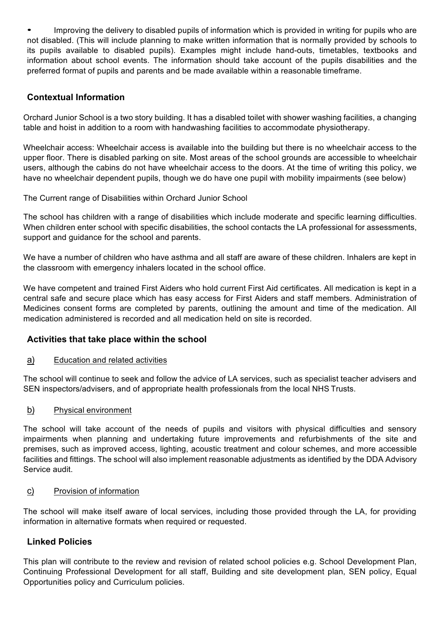• Improving the delivery to disabled pupils of information which is provided in writing for pupils who are not disabled. (This will include planning to make written information that is normally provided by schools to its pupils available to disabled pupils). Examples might include hand-outs, timetables, textbooks and information about school events. The information should take account of the pupils disabilities and the preferred format of pupils and parents and be made available within a reasonable timeframe.

#### **Contextual Information**

Orchard Junior School is a two story building. It has a disabled toilet with shower washing facilities, a changing table and hoist in addition to a room with handwashing facilities to accommodate physiotherapy.

Wheelchair access: Wheelchair access is available into the building but there is no wheelchair access to the upper floor. There is disabled parking on site. Most areas of the school grounds are accessible to wheelchair users, although the cabins do not have wheelchair access to the doors. At the time of writing this policy, we have no wheelchair dependent pupils, though we do have one pupil with mobility impairments (see below)

The Current range of Disabilities within Orchard Junior School

The school has children with a range of disabilities which include moderate and specific learning difficulties. When children enter school with specific disabilities, the school contacts the LA professional for assessments, support and guidance for the school and parents.

We have a number of children who have asthma and all staff are aware of these children. Inhalers are kept in the classroom with emergency inhalers located in the school office.

We have competent and trained First Aiders who hold current First Aid certificates. All medication is kept in a central safe and secure place which has easy access for First Aiders and staff members. Administration of Medicines consent forms are completed by parents, outlining the amount and time of the medication. All medication administered is recorded and all medication held on site is recorded.

#### **Activities that take place within the school**

#### a) Education and related activities

The school will continue to seek and follow the advice of LA services, such as specialist teacher advisers and SEN inspectors/advisers, and of appropriate health professionals from the local NHS Trusts.

#### b) Physical environment

The school will take account of the needs of pupils and visitors with physical difficulties and sensory impairments when planning and undertaking future improvements and refurbishments of the site and premises, such as improved access, lighting, acoustic treatment and colour schemes, and more accessible facilities and fittings. The school will also implement reasonable adjustments as identified by the DDA Advisory Service audit.

#### c) Provision of information

The school will make itself aware of local services, including those provided through the LA, for providing information in alternative formats when required or requested.

#### **Linked Policies**

This plan will contribute to the review and revision of related school policies e.g. School Development Plan, Continuing Professional Development for all staff, Building and site development plan, SEN policy, Equal Opportunities policy and Curriculum policies.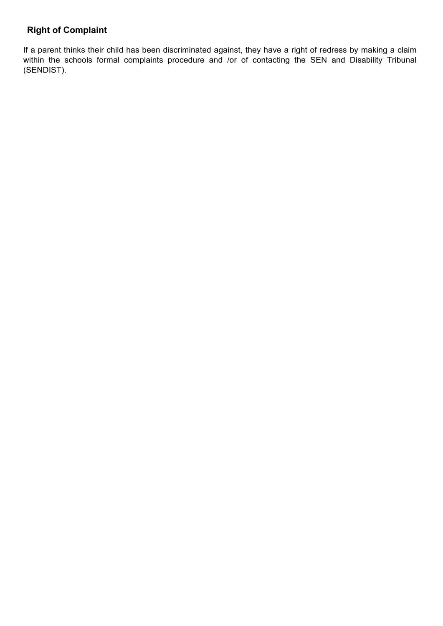## **Right of Complaint**

If a parent thinks their child has been discriminated against, they have a right of redress by making a claim within the schools formal complaints procedure and /or of contacting the SEN and Disability Tribunal (SENDIST).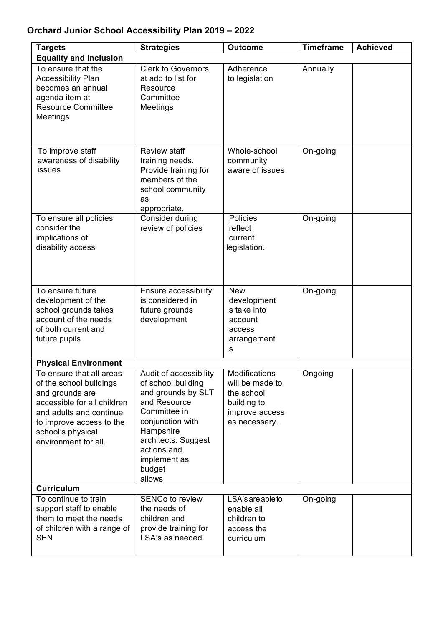## **Orchard Junior School Accessibility Plan 2019 – 2022**

| <b>Targets</b>                                                                                                                                                                                            | <b>Strategies</b>                                                                                                                                                                                             | <b>Outcome</b>                                                                                   | <b>Timeframe</b> | Achieved |
|-----------------------------------------------------------------------------------------------------------------------------------------------------------------------------------------------------------|---------------------------------------------------------------------------------------------------------------------------------------------------------------------------------------------------------------|--------------------------------------------------------------------------------------------------|------------------|----------|
| <b>Equality and Inclusion</b>                                                                                                                                                                             |                                                                                                                                                                                                               |                                                                                                  |                  |          |
| To ensure that the<br><b>Accessibility Plan</b><br>becomes an annual<br>agenda item at<br><b>Resource Committee</b><br>Meetings                                                                           | <b>Clerk to Governors</b><br>at add to list for<br>Resource<br>Committee<br>Meetings                                                                                                                          | Adherence<br>to legislation                                                                      | Annually         |          |
| To improve staff<br>awareness of disability<br>issues                                                                                                                                                     | <b>Review staff</b><br>training needs.<br>Provide training for<br>members of the<br>school community<br>as<br>appropriate.                                                                                    | Whole-school<br>community<br>aware of issues                                                     | On-going         |          |
| To ensure all policies<br>consider the<br>implications of<br>disability access                                                                                                                            | Consider during<br>review of policies                                                                                                                                                                         | Policies<br>reflect<br>current<br>legislation.                                                   | On-going         |          |
| To ensure future<br>development of the<br>school grounds takes<br>account of the needs<br>of both current and<br>future pupils                                                                            | Ensure accessibility<br>is considered in<br>future grounds<br>development                                                                                                                                     | <b>New</b><br>development<br>s take into<br>account<br>access<br>arrangement<br>s                | On-going         |          |
| <b>Physical Environment</b>                                                                                                                                                                               |                                                                                                                                                                                                               |                                                                                                  |                  |          |
| To ensure that all areas<br>of the school buildings<br>and grounds are<br>accessible for all children<br>and adults and continue<br>to improve access to the<br>school's physical<br>environment for all. | Audit of accessibility<br>of school building<br>and grounds by SLT<br>and Resource<br>Committee in<br>conjunction with<br>Hampshire<br>architects. Suggest<br>actions and<br>implement as<br>budget<br>allows | Modifications<br>will be made to<br>the school<br>building to<br>improve access<br>as necessary. | Ongoing          |          |
| <b>Curriculum</b>                                                                                                                                                                                         |                                                                                                                                                                                                               |                                                                                                  |                  |          |
| $\overline{10}$ continue to train<br>support staff to enable<br>them to meet the needs<br>of children with a range of<br><b>SEN</b>                                                                       | <b>SENCo to review</b><br>the needs of<br>children and<br>provide training for<br>LSA's as needed.                                                                                                            | LSA's are able to<br>enable all<br>children to<br>access the<br>curriculum                       | On-going         |          |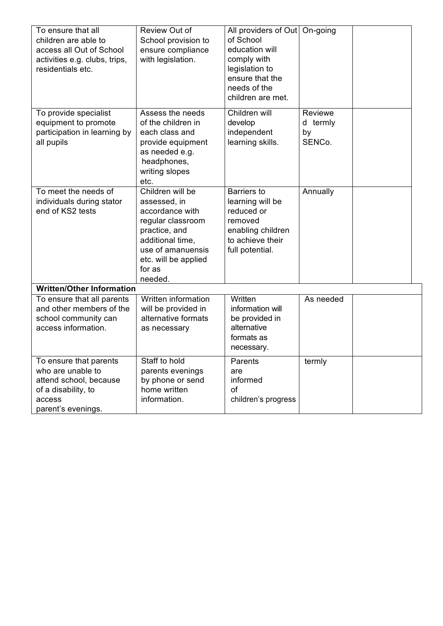| To ensure that all<br>children are able to<br>access all Out of School<br>activities e.g. clubs, trips,<br>residentials etc. | Review Out of<br>School provision to<br>ensure compliance<br>with legislation.                                                                                                  | All providers of Out<br>of School<br>education will<br>comply with<br>legislation to<br>ensure that the<br>needs of the<br>children are met. | On-going                            |  |
|------------------------------------------------------------------------------------------------------------------------------|---------------------------------------------------------------------------------------------------------------------------------------------------------------------------------|----------------------------------------------------------------------------------------------------------------------------------------------|-------------------------------------|--|
| To provide specialist<br>equipment to promote<br>participation in learning by<br>all pupils                                  | Assess the needs<br>of the children in<br>each class and<br>provide equipment<br>as needed e.g.<br>headphones,<br>writing slopes<br>etc.                                        | Children will<br>develop<br>independent<br>learning skills.                                                                                  | Reviewe<br>d termly<br>by<br>SENCo. |  |
| To meet the needs of<br>individuals during stator<br>end of KS2 tests                                                        | Children will be<br>assessed, in<br>accordance with<br>regular classroom<br>practice, and<br>additional time.<br>use of amanuensis<br>etc. will be applied<br>for as<br>needed. | <b>Barriers to</b><br>learning will be<br>reduced or<br>removed<br>enabling children<br>to achieve their<br>full potential.                  | Annually                            |  |
| <b>Written/Other Information</b>                                                                                             |                                                                                                                                                                                 |                                                                                                                                              |                                     |  |
| To ensure that all parents<br>and other members of the<br>school community can<br>access information.                        | Written information<br>will be provided in<br>alternative formats<br>as necessary                                                                                               | Written<br>information will<br>be provided in<br>alternative<br>formats as<br>necessary.                                                     | As needed                           |  |
| To ensure that parents<br>who are unable to<br>attend school, because<br>of a disability, to<br>access<br>parent's evenings. | Staff to hold<br>parents evenings<br>by phone or send<br>home written<br>information.                                                                                           | Parents<br>are<br>informed<br><b>of</b><br>children's progress                                                                               | termly                              |  |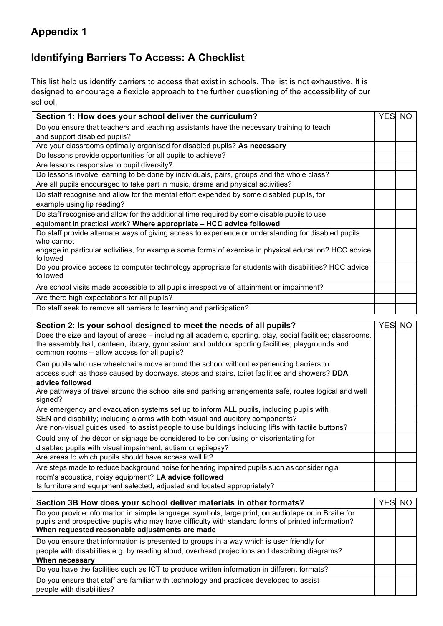## **Appendix 1**

## **Identifying Barriers To Access: A Checklist**

This list help us identify barriers to access that exist in schools. The list is not exhaustive. It is designed to encourage a flexible approach to the further questioning of the accessibility of our school.

| Section 1: How does your school deliver the curriculum?                                                           | <b>YES</b> | <b>NO</b> |
|-------------------------------------------------------------------------------------------------------------------|------------|-----------|
| Do you ensure that teachers and teaching assistants have the necessary training to teach                          |            |           |
| and support disabled pupils?                                                                                      |            |           |
| Are your classrooms optimally organised for disabled pupils? As necessary                                         |            |           |
| Do lessons provide opportunities for all pupils to achieve?                                                       |            |           |
| Are lessons responsive to pupil diversity?                                                                        |            |           |
| Do lessons involve learning to be done by individuals, pairs, groups and the whole class?                         |            |           |
| Are all pupils encouraged to take part in music, drama and physical activities?                                   |            |           |
| Do staff recognise and allow for the mental effort expended by some disabled pupils, for                          |            |           |
| example using lip reading?                                                                                        |            |           |
| Do staff recognise and allow for the additional time required by some disable pupils to use                       |            |           |
| equipment in practical work? Where appropriate - HCC advice followed                                              |            |           |
| Do staff provide alternate ways of giving access to experience or understanding for disabled pupils               |            |           |
| who cannot                                                                                                        |            |           |
| engage in particular activities, for example some forms of exercise in physical education? HCC advice<br>followed |            |           |
| Do you provide access to computer technology appropriate for students with disabilities? HCC advice               |            |           |
| followed                                                                                                          |            |           |
| Are school visits made accessible to all pupils irrespective of attainment or impairment?                         |            |           |
| Are there high expectations for all pupils?                                                                       |            |           |
| Do staff seek to remove all barriers to learning and participation?                                               |            |           |
| Section 2: Is your school designed to meet the needs of all pupils?                                               | YES NO     |           |
| Does the size and layout of areas – including all academic, sporting, play, social facilities; classrooms,        |            |           |
| the assembly hall, canteen, library, gymnasium and outdoor sporting facilities, playgrounds and                   |            |           |
| common rooms - allow access for all pupils?                                                                       |            |           |
| Can pupils who use wheelchairs move around the school without experiencing barriers to                            |            |           |
| access such as those caused by doorways, steps and stairs, toilet facilities and showers? DDA                     |            |           |
| advice followed                                                                                                   |            |           |
| Are pathways of travel around the school site and parking arrangements safe, routes logical and well              |            |           |
| signed?                                                                                                           |            |           |
| Are emergency and evacuation systems set up to inform ALL pupils, including pupils with                           |            |           |
| SEN and disability; including alarms with both visual and auditory components?                                    |            |           |
| Are non-visual guides used, to assist people to use buildings including lifts with tactile buttons?               |            |           |
| Could any of the décor or signage be considered to be confusing or disorientating for                             |            |           |
| disabled pupils with visual impairment, autism or epilepsy?                                                       |            |           |
| Are areas to which pupils should have access well lit?                                                            |            |           |
| Are steps made to reduce background noise for hearing impaired pupils such as considering a                       |            |           |
| room's acoustics, noisy equipment? LA advice followed                                                             |            |           |
| Is furniture and equipment selected, adjusted and located appropriately?                                          |            |           |
| Section 3B How does your school deliver materials in other formats?                                               | YES NO     |           |
| Do vou provide information in simple language, symbols, large print, on audiotane or in Braille for               |            |           |

| <u>UCCHUII UU IIUW UUCS YUUI SCHUUI UCHVCI IIIALCHAIS III ULIICI IUIIIIALS :</u>                                                                                                                                                                           | טו וט∟ו |  |
|------------------------------------------------------------------------------------------------------------------------------------------------------------------------------------------------------------------------------------------------------------|---------|--|
| Do you provide information in simple language, symbols, large print, on audiotape or in Braille for<br>pupils and prospective pupils who may have difficulty with standard forms of printed information?<br>When requested reasonable adjustments are made |         |  |
| Do you ensure that information is presented to groups in a way which is user friendly for<br>people with disabilities e.g. by reading aloud, overhead projections and describing diagrams?<br>When necessary                                               |         |  |
| Do you have the facilities such as ICT to produce written information in different formats?                                                                                                                                                                |         |  |
| Do you ensure that staff are familiar with technology and practices developed to assist<br>people with disabilities?                                                                                                                                       |         |  |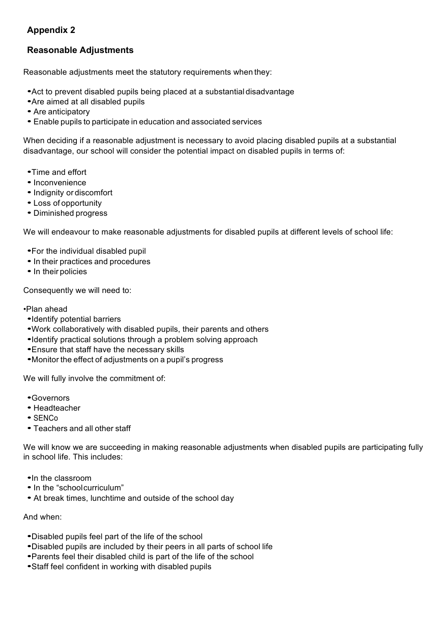#### **Appendix 2**

#### **Reasonable Adjustments**

Reasonable adjustments meet the statutory requirements when they:

- •Act to prevent disabled pupils being placed at a substantial disadvantage
- •Are aimed at all disabled pupils
- Are anticipatory
- Enable pupils to participate in education and associated services

When deciding if a reasonable adjustment is necessary to avoid placing disabled pupils at a substantial disadvantage, our school will consider the potential impact on disabled pupils in terms of:

- •Time and effort
- Inconvenience
- •Indignity or discomfort
- Loss of opportunity
- Diminished progress

We will endeavour to make reasonable adjustments for disabled pupils at different levels of school life:

- •For the individual disabled pupil
- In their practices and procedures
- In their policies

Consequently we will need to:

#### •Plan ahead

- •Identify potential barriers
- •Work collaboratively with disabled pupils, their parents and others
- •Identify practical solutions through a problem solving approach
- •Ensure that staff have the necessary skills
- •Monitor the effect of adjustments on <sup>a</sup> pupil's progress

We will fully involve the commitment of:

- •Governors
- Headteacher
- SENCo
- Teachers and all other staff

We will know we are succeeding in making reasonable adjustments when disabled pupils are participating fully in school life. This includes:

- •In the classroom
- In the "schoolcurriculum"
- At break times, lunchtime and outside of the school day

#### And when:

- •Disabled pupils feel part of the life of the school
- •Disabled pupils are included by their peers in all parts of school life
- •Parents feel their disabled child is part of the life of the school
- •Staff feel confident in working with disabled pupils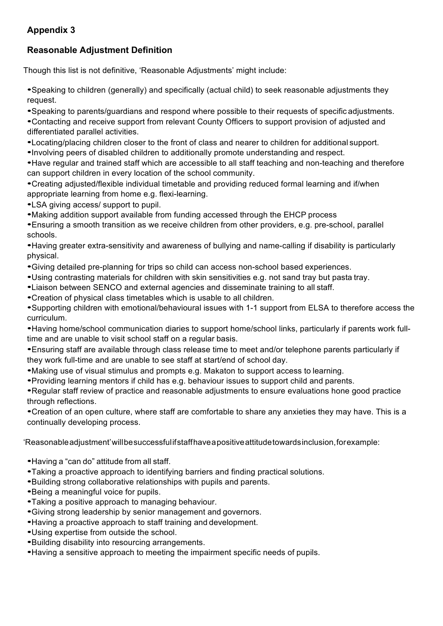#### **Appendix 3**

## **Reasonable Adjustment Definition**

Though this list is not definitive, 'Reasonable Adjustments' might include:

•Speaking to children (generally) and specifically (actual child) to seek reasonable adjustments they request.

•Speaking to parents/guardians and respond where possible to their requests of specific adjustments.

•Contacting and receive support from relevant County Officers to support provision of adjusted and differentiated parallel activities.

•Locating/placing children closer to the front of class and nearer to children for additional support.

•Involving peers of disabled children to additionally promote understanding and respect.

•Have regular and trained staff which are accessible to all staff teaching and non-teaching and therefore can support children in every location of the school community.

•Creating adjusted/flexible individual timetable and providing reduced formal learning and if/when appropriate learning from home e.g. flexi-learning.

•LSA giving access/ support to pupil.

•Making addition support available from funding accessed through the EHCP process

•Ensuring a smooth transition as we receive children from other providers, e.g. pre-school, parallel schools.

•Having greater extra-sensitivity and awareness of bullying and name-calling if disability is particularly physical.

•Giving detailed pre-planning for trips so child can access non-school based experiences.

•Using contrasting materials for children with skin sensitivities e.g. not sand tray but pasta tray.

•Liaison between SENCO and external agencies and disseminate training to all staff.

•Creation of physical class timetables which is usable to all children.

•Supporting children with emotional/behavioural issues with 1-1 support from ELSA to therefore access the curriculum.

•Having home/school communication diaries to support home/school links, particularly if parents work fulltime and are unable to visit school staff on a regular basis.

•Ensuring staff are available through class release time to meet and/or telephone parents particularly if they work full-time and are unable to see staff at start/end of school day.

•Making use of visual stimulus and prompts e.g. Makaton to support access to learning.

•Providing learning mentors if child has e.g. behaviour issues to support child and parents.

•Regular staff review of practice and reasonable adjustments to ensure evaluations hone good practice through reflections.

•Creation of an open culture, where staff are comfortable to share any anxieties they may have. This is a continually developing process.

'Reasonableadjustment'willbesuccessfulifstaffhaveapositiveattitudetowardsinclusion,forexample:

- •Having <sup>a</sup> "can do" attitude from all staff.
- •Taking a proactive approach to identifying barriers and finding practical solutions.
- •Building strong collaborative relationships with pupils and parents.
- •Being a meaningful voice for pupils.
- •Taking a positive approach to managing behaviour.
- •Giving strong leadership by senior management and governors.
- •Having a proactive approach to staff training and development.
- •Using expertise from outside the school.
- •Building disability into resourcing arrangements.
- •Having a sensitive approach to meeting the impairment specific needs of pupils.